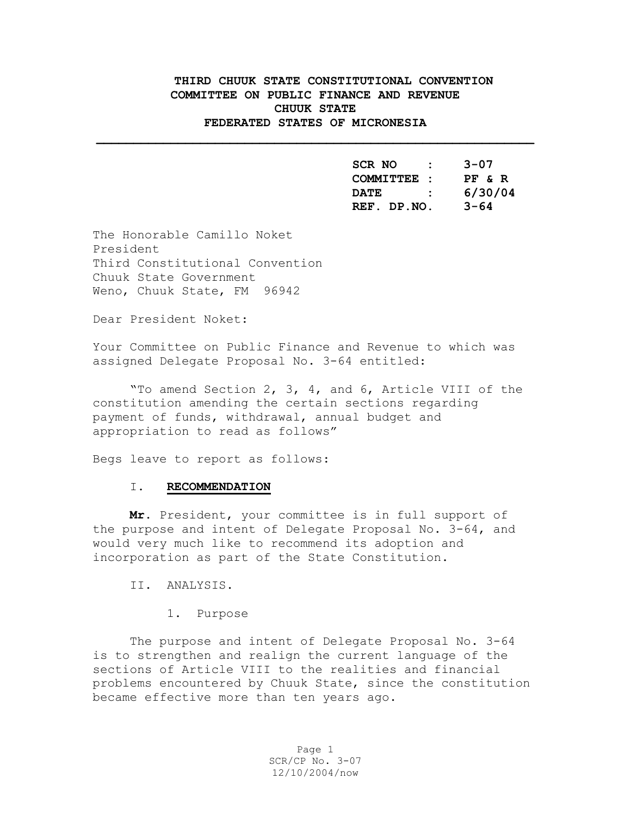# **THIRD CHUUK STATE CONSTITUTIONAL CONVENTION COMMITTEE ON PUBLIC FINANCE AND REVENUE CHUUK STATE FEDERATED STATES OF MICRONESIA**

**\_\_\_\_\_\_\_\_\_\_\_\_\_\_\_\_\_\_\_\_\_\_\_\_\_\_\_\_\_\_\_\_\_\_\_\_\_\_\_\_\_\_\_\_\_\_\_\_\_\_\_\_\_\_\_\_\_\_\_** 

 **SCR NO : 3-07 COMMITTEE : PF & R DATE : 6/30/04 REF. DP.NO. 3-64** 

The Honorable Camillo Noket President Third Constitutional Convention Chuuk State Government Weno, Chuuk State, FM 96942

Dear President Noket:

Your Committee on Public Finance and Revenue to which was assigned Delegate Proposal No. 3-64 entitled:

"To amend Section 2, 3, 4, and 6, Article VIII of the constitution amending the certain sections regarding payment of funds, withdrawal, annual budget and appropriation to read as follows"

Begs leave to report as follows:

#### I. **RECOMMENDATION**

 **Mr.** President, your committee is in full support of the purpose and intent of Delegate Proposal No. 3-64, and would very much like to recommend its adoption and incorporation as part of the State Constitution.

II. ANALYSIS.

1. Purpose

The purpose and intent of Delegate Proposal No. 3-64 is to strengthen and realign the current language of the sections of Article VIII to the realities and financial problems encountered by Chuuk State, since the constitution became effective more than ten years ago.

> Page 1 SCR/CP No. 3-07 12/10/2004/now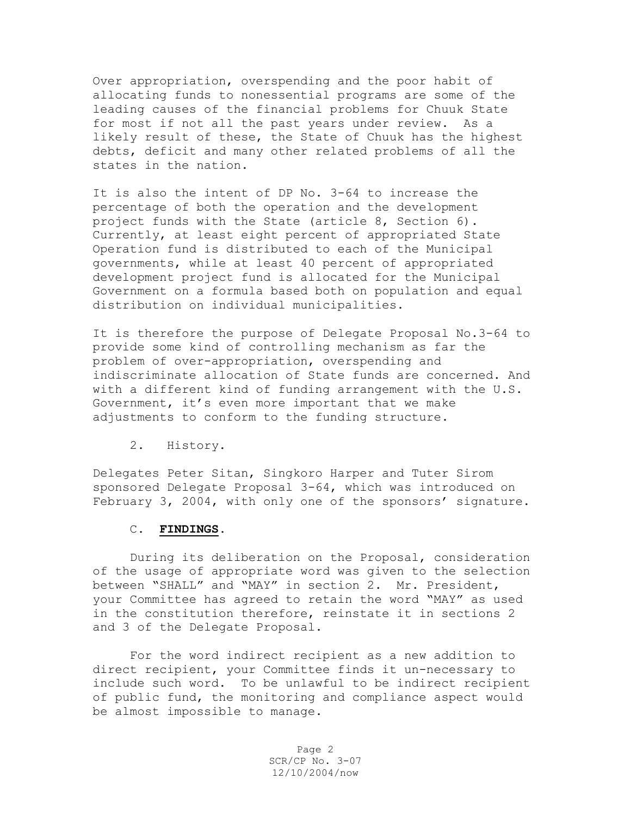Over appropriation, overspending and the poor habit of allocating funds to nonessential programs are some of the leading causes of the financial problems for Chuuk State for most if not all the past years under review. As a likely result of these, the State of Chuuk has the highest debts, deficit and many other related problems of all the states in the nation.

It is also the intent of DP No. 3-64 to increase the percentage of both the operation and the development project funds with the State (article 8, Section 6). Currently, at least eight percent of appropriated State Operation fund is distributed to each of the Municipal governments, while at least 40 percent of appropriated development project fund is allocated for the Municipal Government on a formula based both on population and equal distribution on individual municipalities.

It is therefore the purpose of Delegate Proposal No.3-64 to provide some kind of controlling mechanism as far the problem of over-appropriation, overspending and indiscriminate allocation of State funds are concerned. And with a different kind of funding arrangement with the U.S. Government, it's even more important that we make adjustments to conform to the funding structure.

2. History.

Delegates Peter Sitan, Singkoro Harper and Tuter Sirom sponsored Delegate Proposal 3-64, which was introduced on February 3, 2004, with only one of the sponsors' signature.

#### C. **FINDINGS**.

During its deliberation on the Proposal, consideration of the usage of appropriate word was given to the selection between "SHALL" and "MAY" in section 2. Mr. President, your Committee has agreed to retain the word "MAY" as used in the constitution therefore, reinstate it in sections 2 and 3 of the Delegate Proposal.

For the word indirect recipient as a new addition to direct recipient, your Committee finds it un-necessary to include such word. To be unlawful to be indirect recipient of public fund, the monitoring and compliance aspect would be almost impossible to manage.

> Page 2 SCR/CP No. 3-07 12/10/2004/now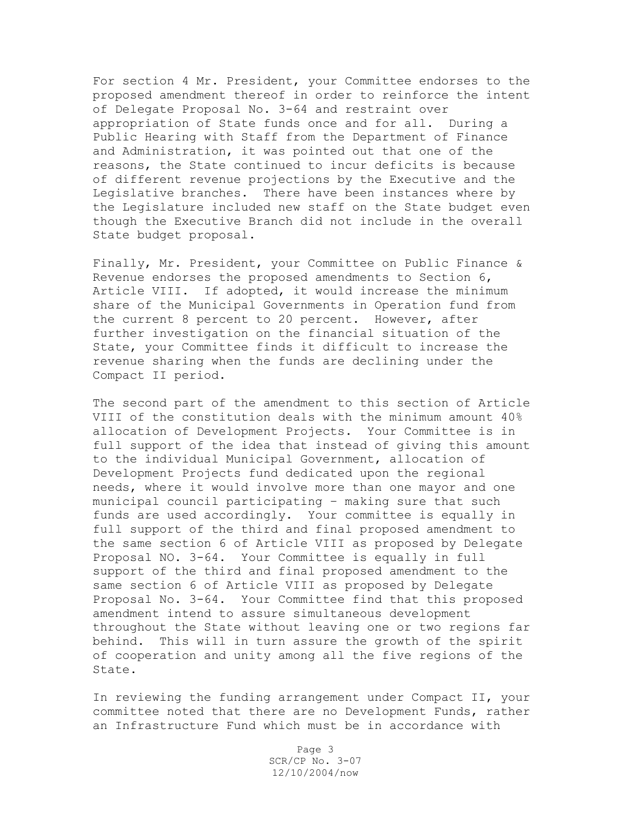For section 4 Mr. President, your Committee endorses to the proposed amendment thereof in order to reinforce the intent of Delegate Proposal No. 3-64 and restraint over appropriation of State funds once and for all. During a Public Hearing with Staff from the Department of Finance and Administration, it was pointed out that one of the reasons, the State continued to incur deficits is because of different revenue projections by the Executive and the Legislative branches. There have been instances where by the Legislature included new staff on the State budget even though the Executive Branch did not include in the overall State budget proposal.

Finally, Mr. President, your Committee on Public Finance & Revenue endorses the proposed amendments to Section 6, Article VIII. If adopted, it would increase the minimum share of the Municipal Governments in Operation fund from the current 8 percent to 20 percent. However, after further investigation on the financial situation of the State, your Committee finds it difficult to increase the revenue sharing when the funds are declining under the Compact II period.

The second part of the amendment to this section of Article VIII of the constitution deals with the minimum amount 40% allocation of Development Projects. Your Committee is in full support of the idea that instead of giving this amount to the individual Municipal Government, allocation of Development Projects fund dedicated upon the regional needs, where it would involve more than one mayor and one municipal council participating – making sure that such funds are used accordingly. Your committee is equally in full support of the third and final proposed amendment to the same section 6 of Article VIII as proposed by Delegate Proposal NO. 3-64. Your Committee is equally in full support of the third and final proposed amendment to the same section 6 of Article VIII as proposed by Delegate Proposal No. 3-64. Your Committee find that this proposed amendment intend to assure simultaneous development throughout the State without leaving one or two regions far behind. This will in turn assure the growth of the spirit of cooperation and unity among all the five regions of the State.

In reviewing the funding arrangement under Compact II, your committee noted that there are no Development Funds, rather an Infrastructure Fund which must be in accordance with

> Page 3 SCR/CP No. 3-07 12/10/2004/now